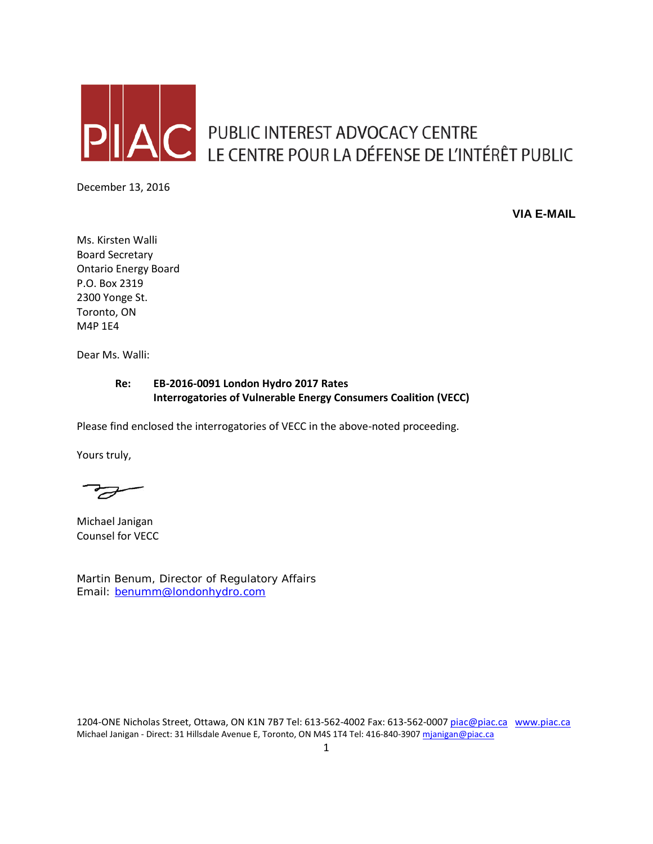

**C** PUBLIC INTEREST ADVOCACY CENTRE LE CENTRE POUR LA DÉFENSE DE L'INTÉRÊT PUBLIC

December 13, 2016

**VIA E-MAIL**

Ms. Kirsten Walli Board Secretary Ontario Energy Board P.O. Box 2319 2300 Yonge St. Toronto, ON M4P 1E4

Dear Ms. Walli:

#### **Re: EB-2016-0091 London Hydro 2017 Rates Interrogatories of Vulnerable Energy Consumers Coalition (VECC)**

Please find enclosed the interrogatories of VECC in the above-noted proceeding.

Yours truly,

Michael Janigan Counsel for VECC

Martin Benum, Director of Regulatory Affairs Email: [benumm@londonhydro.com](mailto:benumm@londonhydro.com)

1204-ONE Nicholas Street, Ottawa, ON K1N 7B7 Tel: 613-562-4002 Fax: 613-562-000[7 piac@piac.ca](mailto:piac@piac.ca) [www.piac.ca](http://www.piac.ca/) Michael Janigan - Direct: 31 Hillsdale Avenue E, Toronto, ON M4S 1T4 Tel: 416-840-390[7 mjanigan@piac.ca](mailto:mjanigan@piac.ca)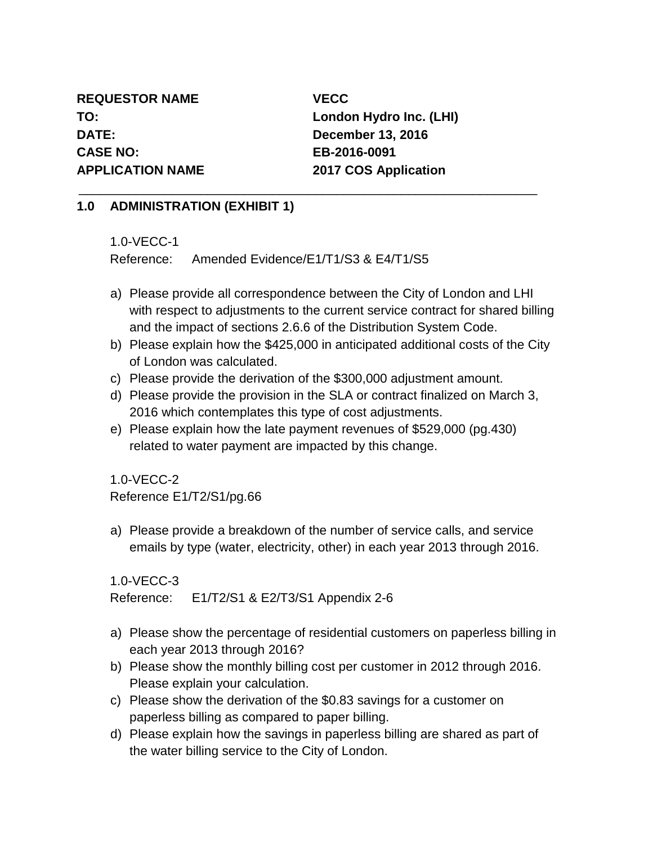**REQUESTOR NAME VECC DATE: December 13, 2016 CASE NO: EB-2016-0091 APPLICATION NAME 2017 COS Application**

**TO: London Hydro Inc. (LHI)**

### **1.0 ADMINISTRATION (EXHIBIT 1)**

1.0-VECC-1

Reference: Amended Evidence/E1/T1/S3 & E4/T1/S5

- a) Please provide all correspondence between the City of London and LHI with respect to adjustments to the current service contract for shared billing and the impact of sections 2.6.6 of the Distribution System Code.
- b) Please explain how the \$425,000 in anticipated additional costs of the City of London was calculated.
- c) Please provide the derivation of the \$300,000 adjustment amount.

\_\_\_\_\_\_\_\_\_\_\_\_\_\_\_\_\_\_\_\_\_\_\_\_\_\_\_\_\_\_\_\_\_\_\_\_\_\_\_\_\_\_\_\_\_\_\_\_\_\_\_\_\_\_\_\_\_\_\_\_\_\_\_\_

- d) Please provide the provision in the SLA or contract finalized on March 3, 2016 which contemplates this type of cost adjustments.
- e) Please explain how the late payment revenues of \$529,000 (pg.430) related to water payment are impacted by this change.

1.0-VECC-2

Reference E1/T2/S1/pg.66

a) Please provide a breakdown of the number of service calls, and service emails by type (water, electricity, other) in each year 2013 through 2016.

1.0-VECC-3

Reference: E1/T2/S1 & E2/T3/S1 Appendix 2-6

- a) Please show the percentage of residential customers on paperless billing in each year 2013 through 2016?
- b) Please show the monthly billing cost per customer in 2012 through 2016. Please explain your calculation.
- c) Please show the derivation of the \$0.83 savings for a customer on paperless billing as compared to paper billing.
- d) Please explain how the savings in paperless billing are shared as part of the water billing service to the City of London.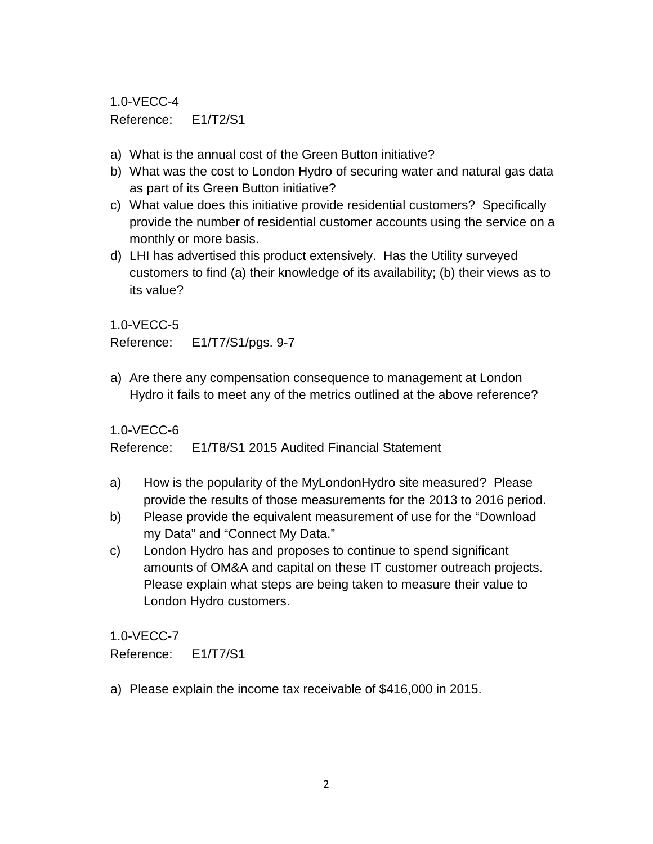1.0-VECC-4 Reference: E1/T2/S1

- a) What is the annual cost of the Green Button initiative?
- b) What was the cost to London Hydro of securing water and natural gas data as part of its Green Button initiative?
- c) What value does this initiative provide residential customers? Specifically provide the number of residential customer accounts using the service on a monthly or more basis.
- d) LHI has advertised this product extensively. Has the Utility surveyed customers to find (a) their knowledge of its availability; (b) their views as to its value?

1.0-VECC-5

Reference: E1/T7/S1/pgs. 9-7

a) Are there any compensation consequence to management at London Hydro it fails to meet any of the metrics outlined at the above reference?

1.0-VECC-6

Reference: E1/T8/S1 2015 Audited Financial Statement

- a) How is the popularity of the MyLondonHydro site measured? Please provide the results of those measurements for the 2013 to 2016 period.
- b) Please provide the equivalent measurement of use for the "Download my Data" and "Connect My Data."
- c) London Hydro has and proposes to continue to spend significant amounts of OM&A and capital on these IT customer outreach projects. Please explain what steps are being taken to measure their value to London Hydro customers.

1.0-VECC-7

Reference: E1/T7/S1

a) Please explain the income tax receivable of \$416,000 in 2015.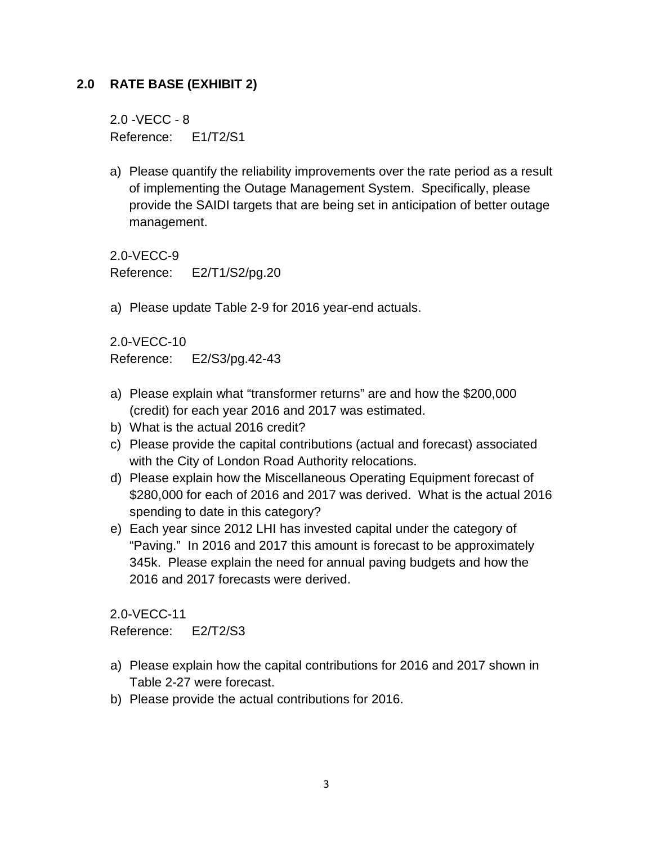## **2.0 RATE BASE (EXHIBIT 2)**

2.0 -VECC - 8 Reference: E1/T2/S1

a) Please quantify the reliability improvements over the rate period as a result of implementing the Outage Management System. Specifically, please provide the SAIDI targets that are being set in anticipation of better outage management.

2.0-VECC-9 Reference: E2/T1/S2/pg.20

a) Please update Table 2-9 for 2016 year-end actuals.

2.0-VECC-10 Reference: E2/S3/pg.42-43

- a) Please explain what "transformer returns" are and how the \$200,000 (credit) for each year 2016 and 2017 was estimated.
- b) What is the actual 2016 credit?
- c) Please provide the capital contributions (actual and forecast) associated with the City of London Road Authority relocations.
- d) Please explain how the Miscellaneous Operating Equipment forecast of \$280,000 for each of 2016 and 2017 was derived. What is the actual 2016 spending to date in this category?
- e) Each year since 2012 LHI has invested capital under the category of "Paving." In 2016 and 2017 this amount is forecast to be approximately 345k. Please explain the need for annual paving budgets and how the 2016 and 2017 forecasts were derived.

2.0-VECC-11 Reference: E2/T2/S3

- a) Please explain how the capital contributions for 2016 and 2017 shown in Table 2-27 were forecast.
- b) Please provide the actual contributions for 2016.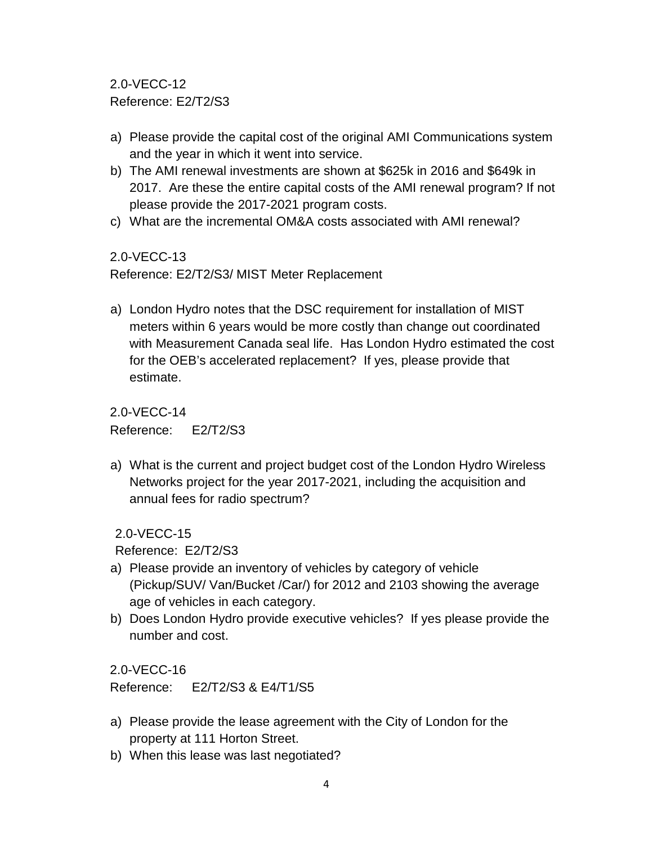2.0-VECC-12 Reference: E2/T2/S3

- a) Please provide the capital cost of the original AMI Communications system and the year in which it went into service.
- b) The AMI renewal investments are shown at \$625k in 2016 and \$649k in 2017. Are these the entire capital costs of the AMI renewal program? If not please provide the 2017-2021 program costs.
- c) What are the incremental OM&A costs associated with AMI renewal?

### 2.0-VECC-13

Reference: E2/T2/S3/ MIST Meter Replacement

a) London Hydro notes that the DSC requirement for installation of MIST meters within 6 years would be more costly than change out coordinated with Measurement Canada seal life. Has London Hydro estimated the cost for the OEB's accelerated replacement? If yes, please provide that estimate.

2.0-VECC-14

Reference: E2/T2/S3

a) What is the current and project budget cost of the London Hydro Wireless Networks project for the year 2017-2021, including the acquisition and annual fees for radio spectrum?

2.0-VECC-15

Reference: E2/T2/S3

- a) Please provide an inventory of vehicles by category of vehicle (Pickup/SUV/ Van/Bucket /Car/) for 2012 and 2103 showing the average age of vehicles in each category.
- b) Does London Hydro provide executive vehicles? If yes please provide the number and cost.

2.0-VECC-16

Reference: E2/T2/S3 & E4/T1/S5

- a) Please provide the lease agreement with the City of London for the property at 111 Horton Street.
- b) When this lease was last negotiated?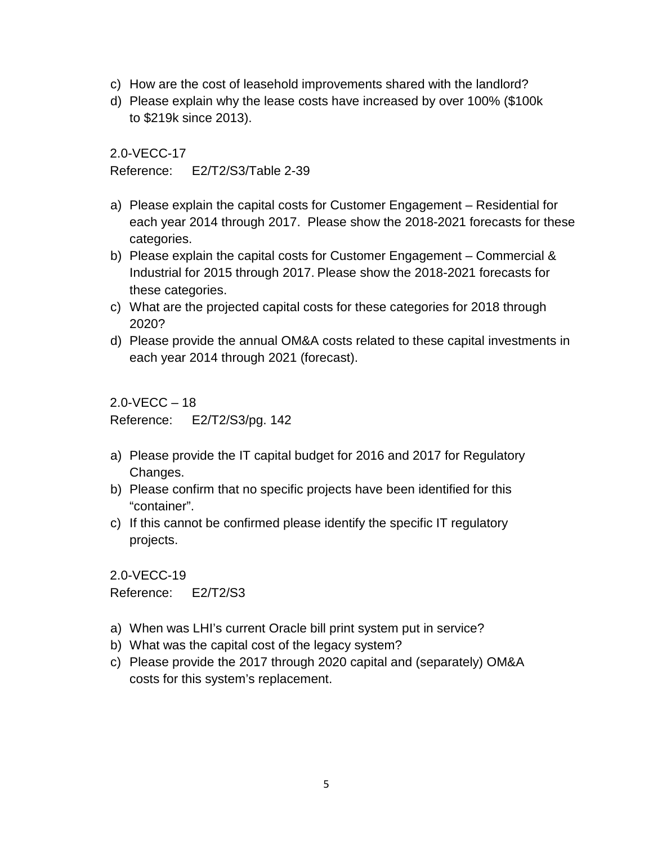- c) How are the cost of leasehold improvements shared with the landlord?
- d) Please explain why the lease costs have increased by over 100% (\$100k to \$219k since 2013).

Reference: E2/T2/S3/Table 2-39

- a) Please explain the capital costs for Customer Engagement Residential for each year 2014 through 2017. Please show the 2018-2021 forecasts for these categories.
- b) Please explain the capital costs for Customer Engagement Commercial & Industrial for 2015 through 2017. Please show the 2018-2021 forecasts for these categories.
- c) What are the projected capital costs for these categories for 2018 through 2020?
- d) Please provide the annual OM&A costs related to these capital investments in each year 2014 through 2021 (forecast).

 $2.0 - VFCC - 18$ Reference: E2/T2/S3/pg. 142

- a) Please provide the IT capital budget for 2016 and 2017 for Regulatory Changes.
- b) Please confirm that no specific projects have been identified for this "container".
- c) If this cannot be confirmed please identify the specific IT regulatory projects.

2.0-VECC-19 Reference: E2/T2/S3

- a) When was LHI's current Oracle bill print system put in service?
- b) What was the capital cost of the legacy system?
- c) Please provide the 2017 through 2020 capital and (separately) OM&A costs for this system's replacement.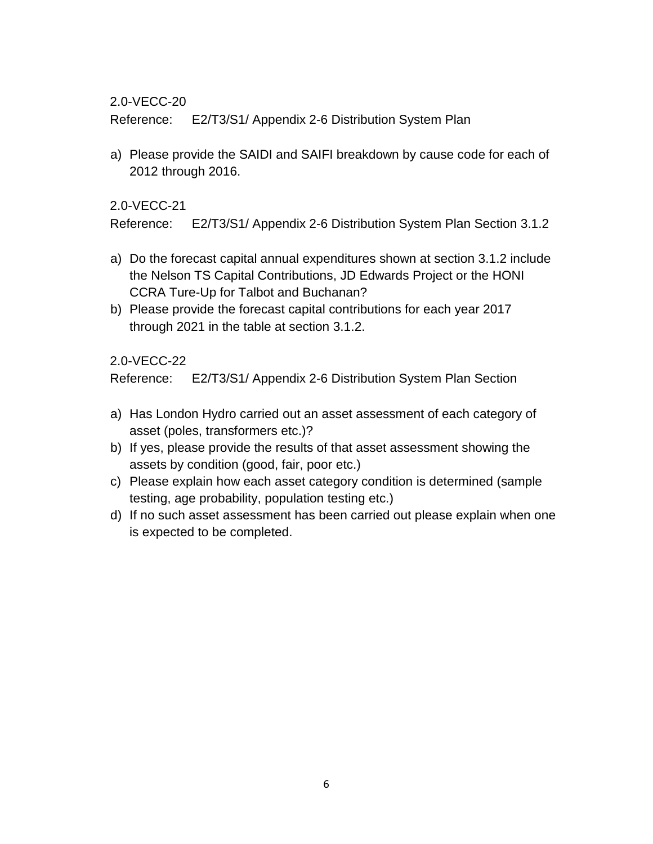Reference: E2/T3/S1/ Appendix 2-6 Distribution System Plan

a) Please provide the SAIDI and SAIFI breakdown by cause code for each of 2012 through 2016.

#### 2.0-VECC-21

Reference: E2/T3/S1/ Appendix 2-6 Distribution System Plan Section 3.1.2

- a) Do the forecast capital annual expenditures shown at section 3.1.2 include the Nelson TS Capital Contributions, JD Edwards Project or the HONI CCRA Ture-Up for Talbot and Buchanan?
- b) Please provide the forecast capital contributions for each year 2017 through 2021 in the table at section 3.1.2.

### 2.0-VECC-22

Reference: E2/T3/S1/ Appendix 2-6 Distribution System Plan Section

- a) Has London Hydro carried out an asset assessment of each category of asset (poles, transformers etc.)?
- b) If yes, please provide the results of that asset assessment showing the assets by condition (good, fair, poor etc.)
- c) Please explain how each asset category condition is determined (sample testing, age probability, population testing etc.)
- d) If no such asset assessment has been carried out please explain when one is expected to be completed.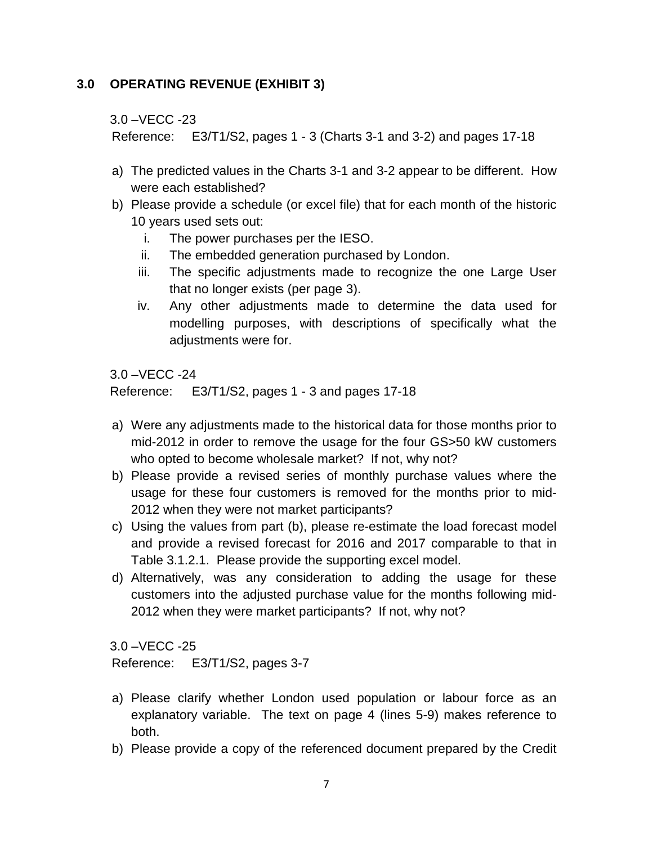### **3.0 OPERATING REVENUE (EXHIBIT 3)**

3.0 –VECC -23

Reference: E3/T1/S2, pages 1 - 3 (Charts 3-1 and 3-2) and pages 17-18

- a) The predicted values in the Charts 3-1 and 3-2 appear to be different. How were each established?
- b) Please provide a schedule (or excel file) that for each month of the historic 10 years used sets out:
	- i. The power purchases per the IESO.
	- ii. The embedded generation purchased by London.
	- iii. The specific adjustments made to recognize the one Large User that no longer exists (per page 3).
	- iv. Any other adjustments made to determine the data used for modelling purposes, with descriptions of specifically what the adjustments were for.

3.0 –VECC -24

Reference: E3/T1/S2, pages 1 - 3 and pages 17-18

- a) Were any adjustments made to the historical data for those months prior to mid-2012 in order to remove the usage for the four GS>50 kW customers who opted to become wholesale market? If not, why not?
- b) Please provide a revised series of monthly purchase values where the usage for these four customers is removed for the months prior to mid-2012 when they were not market participants?
- c) Using the values from part (b), please re-estimate the load forecast model and provide a revised forecast for 2016 and 2017 comparable to that in Table 3.1.2.1. Please provide the supporting excel model.
- d) Alternatively, was any consideration to adding the usage for these customers into the adjusted purchase value for the months following mid-2012 when they were market participants? If not, why not?

3.0 –VECC -25

Reference: E3/T1/S2, pages 3-7

- a) Please clarify whether London used population or labour force as an explanatory variable. The text on page 4 (lines 5-9) makes reference to both.
- b) Please provide a copy of the referenced document prepared by the Credit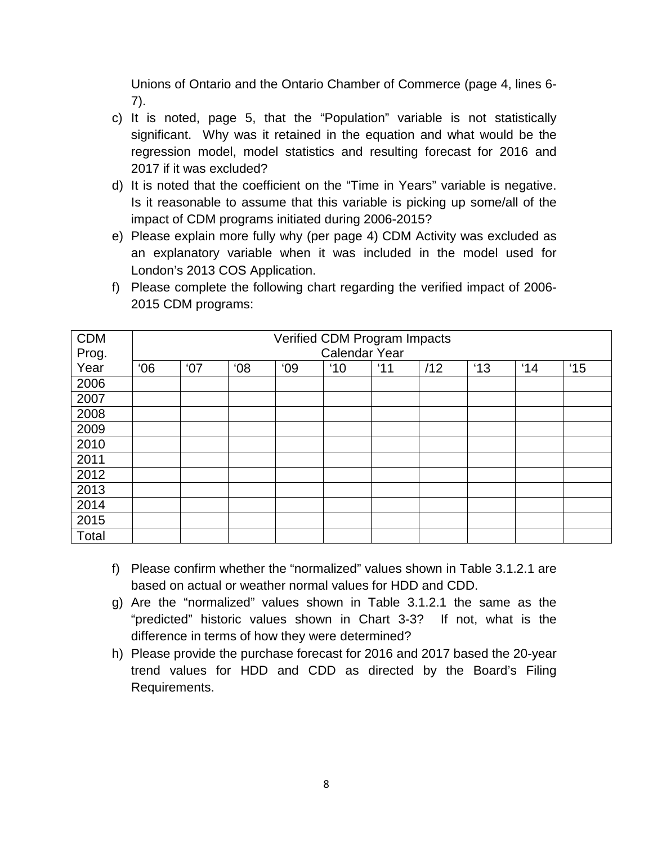Unions of Ontario and the Ontario Chamber of Commerce (page 4, lines 6- 7).

- c) It is noted, page 5, that the "Population" variable is not statistically significant. Why was it retained in the equation and what would be the regression model, model statistics and resulting forecast for 2016 and 2017 if it was excluded?
- d) It is noted that the coefficient on the "Time in Years" variable is negative. Is it reasonable to assume that this variable is picking up some/all of the impact of CDM programs initiated during 2006-2015?
- e) Please explain more fully why (per page 4) CDM Activity was excluded as an explanatory variable when it was included in the model used for London's 2013 COS Application.

| f) Please complete the following chart regarding the verified impact of 2006- |
|-------------------------------------------------------------------------------|
| 2015 CDM programs:                                                            |

| <b>CDM</b> | Verified CDM Program Impacts |     |     |    |               |     |     |     |     |               |
|------------|------------------------------|-----|-----|----|---------------|-----|-----|-----|-----|---------------|
| Prog.      | Calendar Year                |     |     |    |               |     |     |     |     |               |
| Year       | 06'                          | '07 | 08' | 09 | $^{\prime}10$ | '11 | /12 | '13 | '14 | $^{\prime}15$ |
| 2006       |                              |     |     |    |               |     |     |     |     |               |
| 2007       |                              |     |     |    |               |     |     |     |     |               |
| 2008       |                              |     |     |    |               |     |     |     |     |               |
| 2009       |                              |     |     |    |               |     |     |     |     |               |
| 2010       |                              |     |     |    |               |     |     |     |     |               |
| 2011       |                              |     |     |    |               |     |     |     |     |               |
| 2012       |                              |     |     |    |               |     |     |     |     |               |
| 2013       |                              |     |     |    |               |     |     |     |     |               |
| 2014       |                              |     |     |    |               |     |     |     |     |               |
| 2015       |                              |     |     |    |               |     |     |     |     |               |
| Total      |                              |     |     |    |               |     |     |     |     |               |

- f) Please confirm whether the "normalized" values shown in Table 3.1.2.1 are based on actual or weather normal values for HDD and CDD.
- g) Are the "normalized" values shown in Table 3.1.2.1 the same as the "predicted" historic values shown in Chart 3-3? If not, what is the difference in terms of how they were determined?
- h) Please provide the purchase forecast for 2016 and 2017 based the 20-year trend values for HDD and CDD as directed by the Board's Filing Requirements.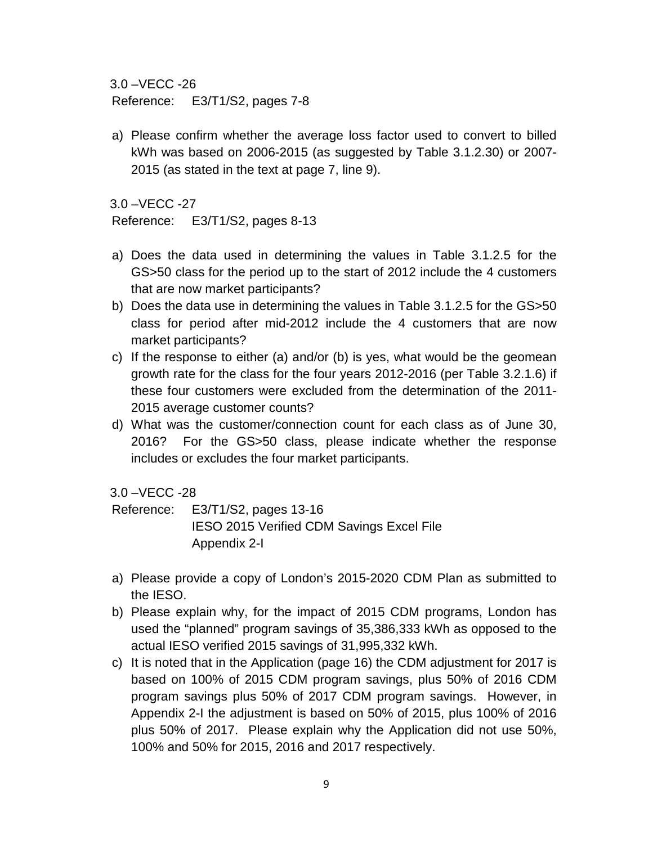3.0 –VECC -26

Reference: E3/T1/S2, pages 7-8

a) Please confirm whether the average loss factor used to convert to billed kWh was based on 2006-2015 (as suggested by Table 3.1.2.30) or 2007- 2015 (as stated in the text at page 7, line 9).

3.0 –VECC -27

Reference: E3/T1/S2, pages 8-13

- a) Does the data used in determining the values in Table 3.1.2.5 for the GS>50 class for the period up to the start of 2012 include the 4 customers that are now market participants?
- b) Does the data use in determining the values in Table 3.1.2.5 for the GS>50 class for period after mid-2012 include the 4 customers that are now market participants?
- c) If the response to either (a) and/or (b) is yes, what would be the geomean growth rate for the class for the four years 2012-2016 (per Table 3.2.1.6) if these four customers were excluded from the determination of the 2011- 2015 average customer counts?
- d) What was the customer/connection count for each class as of June 30, 2016? For the GS>50 class, please indicate whether the response includes or excludes the four market participants.

3.0 –VECC -28

Reference: E3/T1/S2, pages 13-16 IESO 2015 Verified CDM Savings Excel File Appendix 2-I

- a) Please provide a copy of London's 2015-2020 CDM Plan as submitted to the IESO.
- b) Please explain why, for the impact of 2015 CDM programs, London has used the "planned" program savings of 35,386,333 kWh as opposed to the actual IESO verified 2015 savings of 31,995,332 kWh.
- c) It is noted that in the Application (page 16) the CDM adjustment for 2017 is based on 100% of 2015 CDM program savings, plus 50% of 2016 CDM program savings plus 50% of 2017 CDM program savings. However, in Appendix 2-I the adjustment is based on 50% of 2015, plus 100% of 2016 plus 50% of 2017. Please explain why the Application did not use 50%, 100% and 50% for 2015, 2016 and 2017 respectively.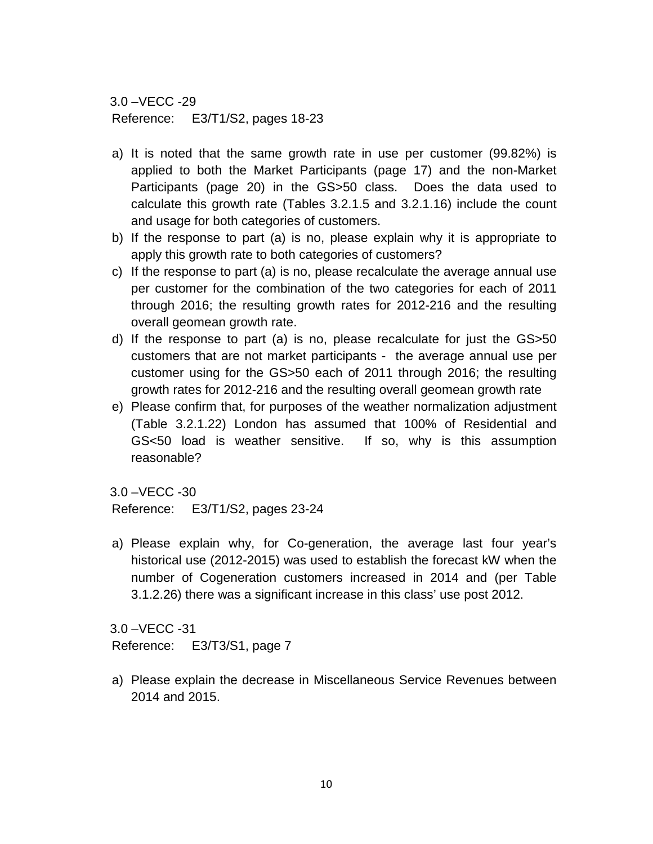3.0 –VECC -29 Reference: E3/T1/S2, pages 18-23

- a) It is noted that the same growth rate in use per customer (99.82%) is applied to both the Market Participants (page 17) and the non-Market Participants (page 20) in the GS>50 class. Does the data used to calculate this growth rate (Tables 3.2.1.5 and 3.2.1.16) include the count and usage for both categories of customers.
- b) If the response to part (a) is no, please explain why it is appropriate to apply this growth rate to both categories of customers?
- c) If the response to part (a) is no, please recalculate the average annual use per customer for the combination of the two categories for each of 2011 through 2016; the resulting growth rates for 2012-216 and the resulting overall geomean growth rate.
- d) If the response to part (a) is no, please recalculate for just the GS>50 customers that are not market participants - the average annual use per customer using for the GS>50 each of 2011 through 2016; the resulting growth rates for 2012-216 and the resulting overall geomean growth rate
- e) Please confirm that, for purposes of the weather normalization adjustment (Table 3.2.1.22) London has assumed that 100% of Residential and GS<50 load is weather sensitive. If so, why is this assumption reasonable?

3.0 –VECC -30

Reference: E3/T1/S2, pages 23-24

a) Please explain why, for Co-generation, the average last four year's historical use (2012-2015) was used to establish the forecast kW when the number of Cogeneration customers increased in 2014 and (per Table 3.1.2.26) there was a significant increase in this class' use post 2012.

3.0 –VECC -31 Reference: E3/T3/S1, page 7

a) Please explain the decrease in Miscellaneous Service Revenues between 2014 and 2015.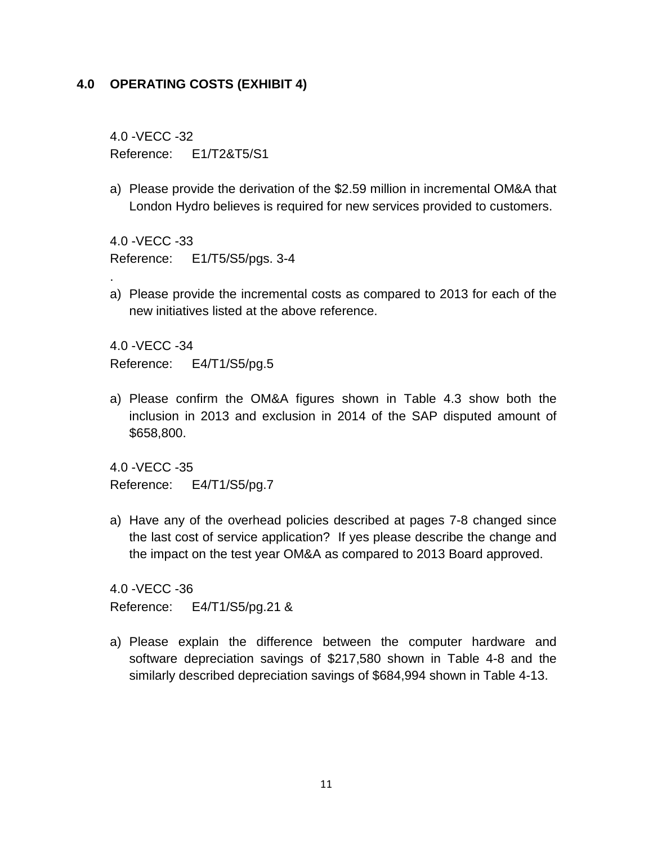#### **4.0 OPERATING COSTS (EXHIBIT 4)**

4.0 -VECC -32 Reference: E1/T2&T5/S1

a) Please provide the derivation of the \$2.59 million in incremental OM&A that London Hydro believes is required for new services provided to customers.

4.0 -VECC -33 Reference: E1/T5/S5/pgs. 3-4

a) Please provide the incremental costs as compared to 2013 for each of the new initiatives listed at the above reference.

4.0 -VECC -34 Reference: E4/T1/S5/pg.5

.

a) Please confirm the OM&A figures shown in Table 4.3 show both the inclusion in 2013 and exclusion in 2014 of the SAP disputed amount of \$658,800.

4.0 -VECC -35 Reference: E4/T1/S5/pg.7

a) Have any of the overhead policies described at pages 7-8 changed since the last cost of service application? If yes please describe the change and the impact on the test year OM&A as compared to 2013 Board approved.

4.0 -VECC -36 Reference: E4/T1/S5/pg.21 &

a) Please explain the difference between the computer hardware and software depreciation savings of \$217,580 shown in Table 4-8 and the similarly described depreciation savings of \$684,994 shown in Table 4-13.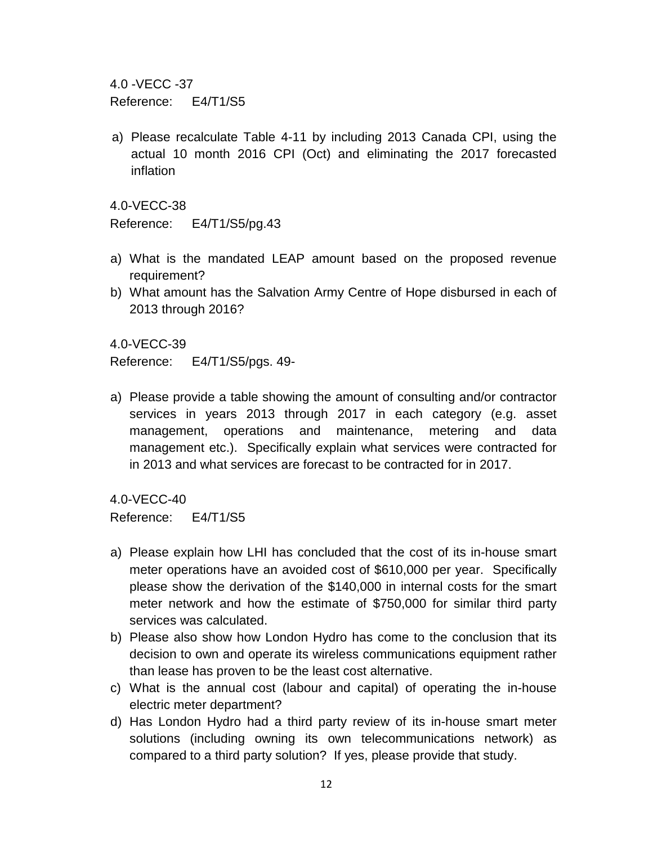4.0 -VECC -37

Reference: E4/T1/S5

a) Please recalculate Table 4-11 by including 2013 Canada CPI, using the actual 10 month 2016 CPI (Oct) and eliminating the 2017 forecasted inflation

4.0-VECC-38

Reference: E4/T1/S5/pg.43

- a) What is the mandated LEAP amount based on the proposed revenue requirement?
- b) What amount has the Salvation Army Centre of Hope disbursed in each of 2013 through 2016?

4.0-VECC-39

Reference: E4/T1/S5/pgs. 49-

a) Please provide a table showing the amount of consulting and/or contractor services in years 2013 through 2017 in each category (e.g. asset management, operations and maintenance, metering and data management etc.). Specifically explain what services were contracted for in 2013 and what services are forecast to be contracted for in 2017.

4.0-VECC-40

Reference: E4/T1/S5

- a) Please explain how LHI has concluded that the cost of its in-house smart meter operations have an avoided cost of \$610,000 per year. Specifically please show the derivation of the \$140,000 in internal costs for the smart meter network and how the estimate of \$750,000 for similar third party services was calculated.
- b) Please also show how London Hydro has come to the conclusion that its decision to own and operate its wireless communications equipment rather than lease has proven to be the least cost alternative.
- c) What is the annual cost (labour and capital) of operating the in-house electric meter department?
- d) Has London Hydro had a third party review of its in-house smart meter solutions (including owning its own telecommunications network) as compared to a third party solution? If yes, please provide that study.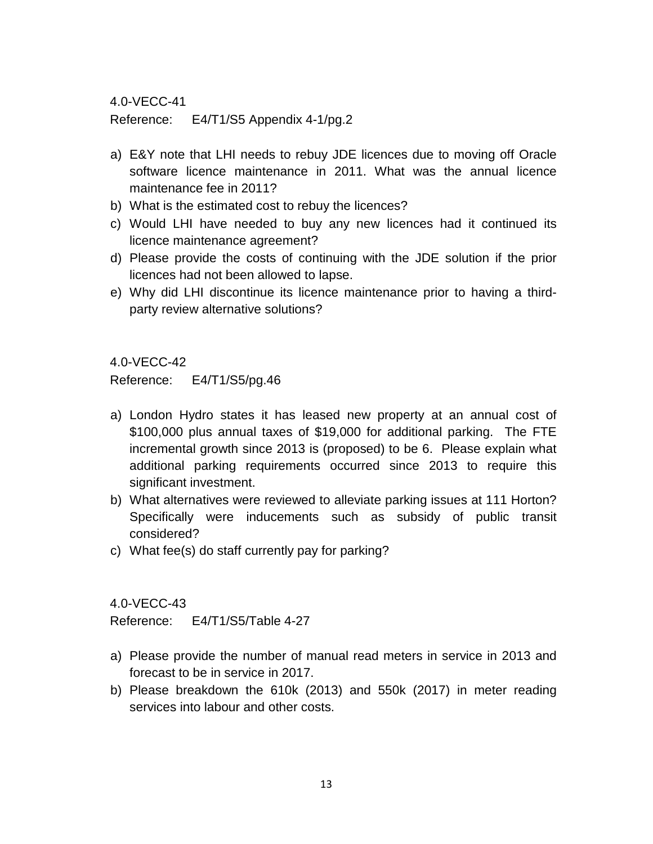Reference: E4/T1/S5 Appendix 4-1/pg.2

- a) E&Y note that LHI needs to rebuy JDE licences due to moving off Oracle software licence maintenance in 2011. What was the annual licence maintenance fee in 2011?
- b) What is the estimated cost to rebuy the licences?
- c) Would LHI have needed to buy any new licences had it continued its licence maintenance agreement?
- d) Please provide the costs of continuing with the JDE solution if the prior licences had not been allowed to lapse.
- e) Why did LHI discontinue its licence maintenance prior to having a thirdparty review alternative solutions?

4.0-VECC-42

Reference: E4/T1/S5/pg.46

- a) London Hydro states it has leased new property at an annual cost of \$100,000 plus annual taxes of \$19,000 for additional parking. The FTE incremental growth since 2013 is (proposed) to be 6. Please explain what additional parking requirements occurred since 2013 to require this significant investment.
- b) What alternatives were reviewed to alleviate parking issues at 111 Horton? Specifically were inducements such as subsidy of public transit considered?
- c) What fee(s) do staff currently pay for parking?

4.0-VECC-43

Reference: E4/T1/S5/Table 4-27

- a) Please provide the number of manual read meters in service in 2013 and forecast to be in service in 2017.
- b) Please breakdown the 610k (2013) and 550k (2017) in meter reading services into labour and other costs.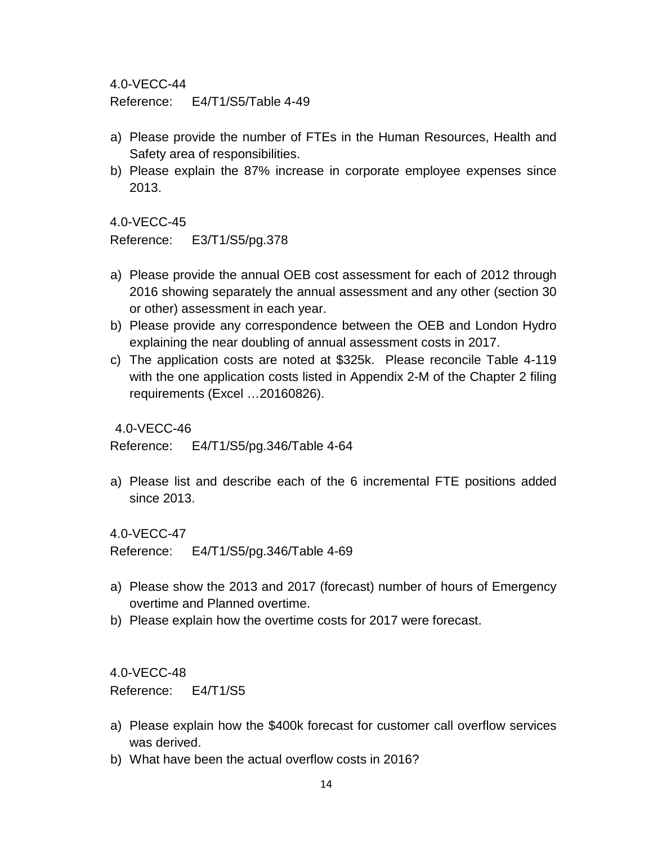Reference: E4/T1/S5/Table 4-49

- a) Please provide the number of FTEs in the Human Resources, Health and Safety area of responsibilities.
- b) Please explain the 87% increase in corporate employee expenses since 2013.

4.0-VECC-45

Reference: E3/T1/S5/pg.378

- a) Please provide the annual OEB cost assessment for each of 2012 through 2016 showing separately the annual assessment and any other (section 30 or other) assessment in each year.
- b) Please provide any correspondence between the OEB and London Hydro explaining the near doubling of annual assessment costs in 2017.
- c) The application costs are noted at \$325k. Please reconcile Table 4-119 with the one application costs listed in Appendix 2-M of the Chapter 2 filing requirements (Excel …20160826).

4.0-VECC-46

Reference: E4/T1/S5/pg.346/Table 4-64

a) Please list and describe each of the 6 incremental FTE positions added since 2013.

4.0-VECC-47

Reference: E4/T1/S5/pg.346/Table 4-69

- a) Please show the 2013 and 2017 (forecast) number of hours of Emergency overtime and Planned overtime.
- b) Please explain how the overtime costs for 2017 were forecast.

4.0-VECC-48

Reference: E4/T1/S5

- a) Please explain how the \$400k forecast for customer call overflow services was derived.
- b) What have been the actual overflow costs in 2016?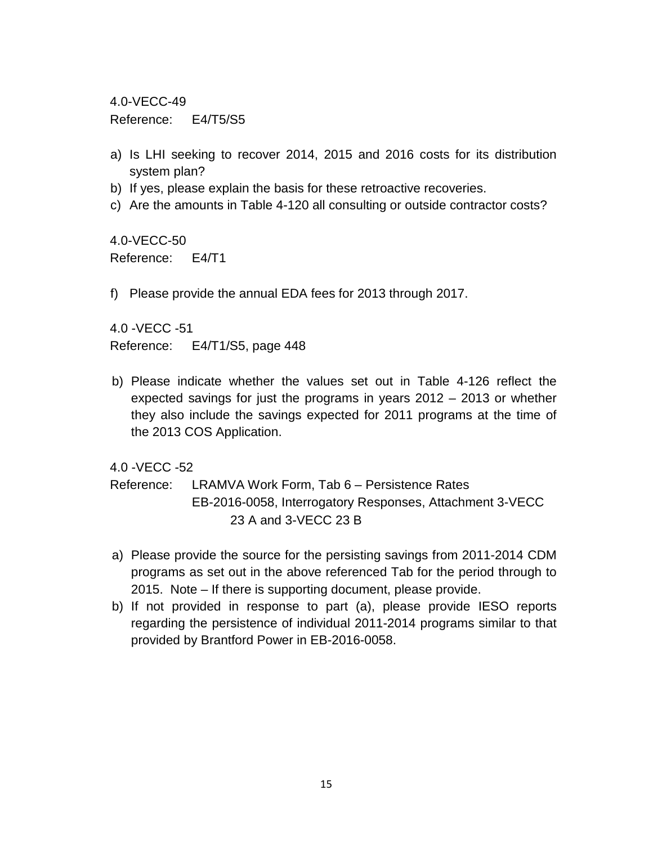Reference: E4/T5/S5

- a) Is LHI seeking to recover 2014, 2015 and 2016 costs for its distribution system plan?
- b) If yes, please explain the basis for these retroactive recoveries.
- c) Are the amounts in Table 4-120 all consulting or outside contractor costs?

4.0-VECC-50 Reference: E4/T1

f) Please provide the annual EDA fees for 2013 through 2017.

4.0 -VECC -51 Reference: E4/T1/S5, page 448

b) Please indicate whether the values set out in Table 4-126 reflect the expected savings for just the programs in years 2012 – 2013 or whether they also include the savings expected for 2011 programs at the time of the 2013 COS Application.

4.0 -VECC -52

Reference: LRAMVA Work Form, Tab 6 – Persistence Rates EB-2016-0058, Interrogatory Responses, Attachment 3-VECC 23 A and 3-VECC 23 B

- a) Please provide the source for the persisting savings from 2011-2014 CDM programs as set out in the above referenced Tab for the period through to 2015. Note – If there is supporting document, please provide.
- b) If not provided in response to part (a), please provide IESO reports regarding the persistence of individual 2011-2014 programs similar to that provided by Brantford Power in EB-2016-0058.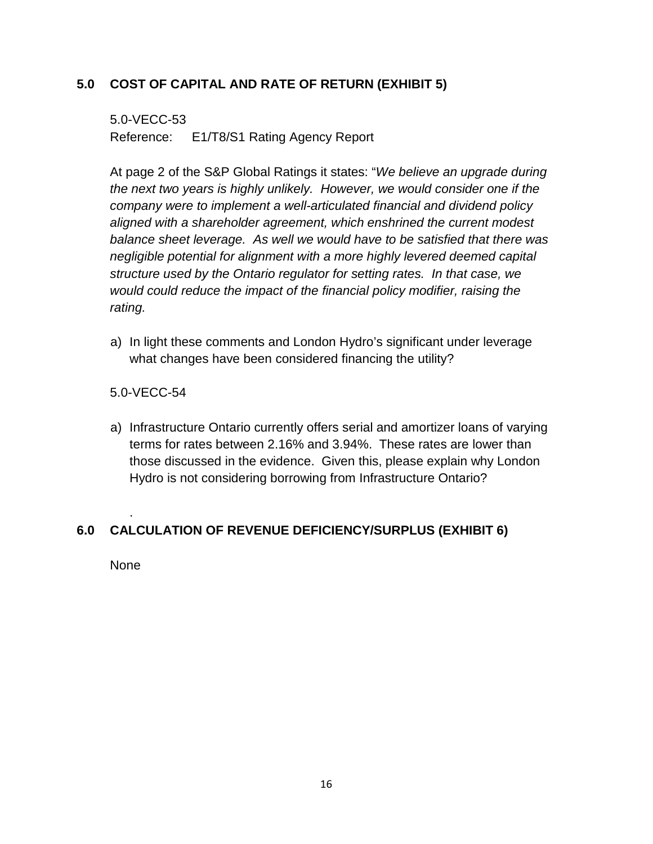## **5.0 COST OF CAPITAL AND RATE OF RETURN (EXHIBIT 5)**

5.0-VECC-53 Reference: E1/T8/S1 Rating Agency Report

At page 2 of the S&P Global Ratings it states: "*We believe an upgrade during the next two years is highly unlikely. However, we would consider one if the company were to implement a well-articulated financial and dividend policy aligned with a shareholder agreement, which enshrined the current modest balance sheet leverage. As well we would have to be satisfied that there was negligible potential for alignment with a more highly levered deemed capital structure used by the Ontario regulator for setting rates. In that case, we would could reduce the impact of the financial policy modifier, raising the rating.*

a) In light these comments and London Hydro's significant under leverage what changes have been considered financing the utility?

### 5.0-VECC-54

a) Infrastructure Ontario currently offers serial and amortizer loans of varying terms for rates between 2.16% and 3.94%. These rates are lower than those discussed in the evidence. Given this, please explain why London Hydro is not considering borrowing from Infrastructure Ontario?

# **6.0 CALCULATION OF REVENUE DEFICIENCY/SURPLUS (EXHIBIT 6)**

None

.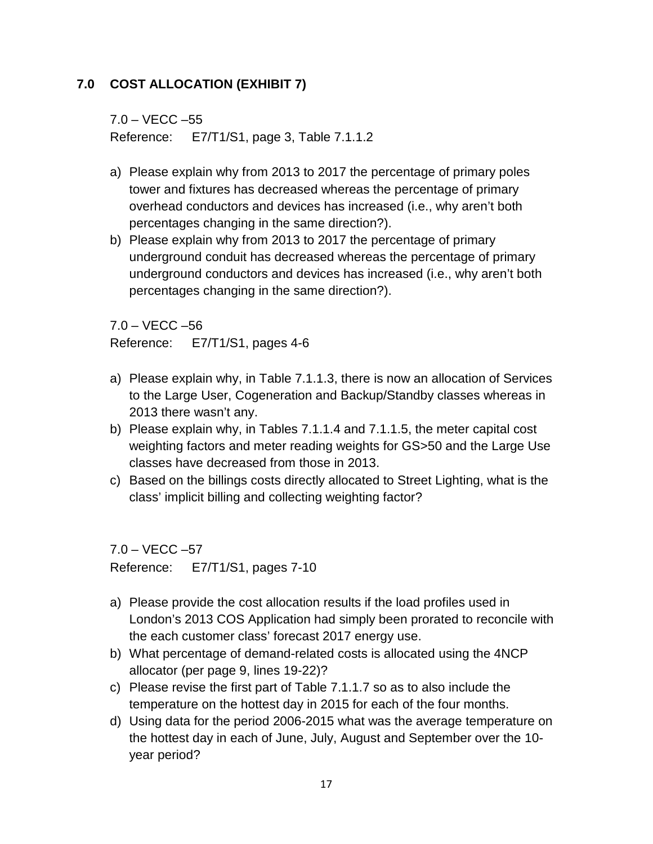# **7.0 COST ALLOCATION (EXHIBIT 7)**

7.0 – VECC –55 Reference: E7/T1/S1, page 3, Table 7.1.1.2

- a) Please explain why from 2013 to 2017 the percentage of primary poles tower and fixtures has decreased whereas the percentage of primary overhead conductors and devices has increased (i.e., why aren't both percentages changing in the same direction?).
- b) Please explain why from 2013 to 2017 the percentage of primary underground conduit has decreased whereas the percentage of primary underground conductors and devices has increased (i.e., why aren't both percentages changing in the same direction?).

7.0 – VECC –56

Reference: E7/T1/S1, pages 4-6

- a) Please explain why, in Table 7.1.1.3, there is now an allocation of Services to the Large User, Cogeneration and Backup/Standby classes whereas in 2013 there wasn't any.
- b) Please explain why, in Tables 7.1.1.4 and 7.1.1.5, the meter capital cost weighting factors and meter reading weights for GS>50 and the Large Use classes have decreased from those in 2013.
- c) Based on the billings costs directly allocated to Street Lighting, what is the class' implicit billing and collecting weighting factor?

 $7.0 - VECC - 57$ 

Reference: E7/T1/S1, pages 7-10

- a) Please provide the cost allocation results if the load profiles used in London's 2013 COS Application had simply been prorated to reconcile with the each customer class' forecast 2017 energy use.
- b) What percentage of demand-related costs is allocated using the 4NCP allocator (per page 9, lines 19-22)?
- c) Please revise the first part of Table 7.1.1.7 so as to also include the temperature on the hottest day in 2015 for each of the four months.
- d) Using data for the period 2006-2015 what was the average temperature on the hottest day in each of June, July, August and September over the 10 year period?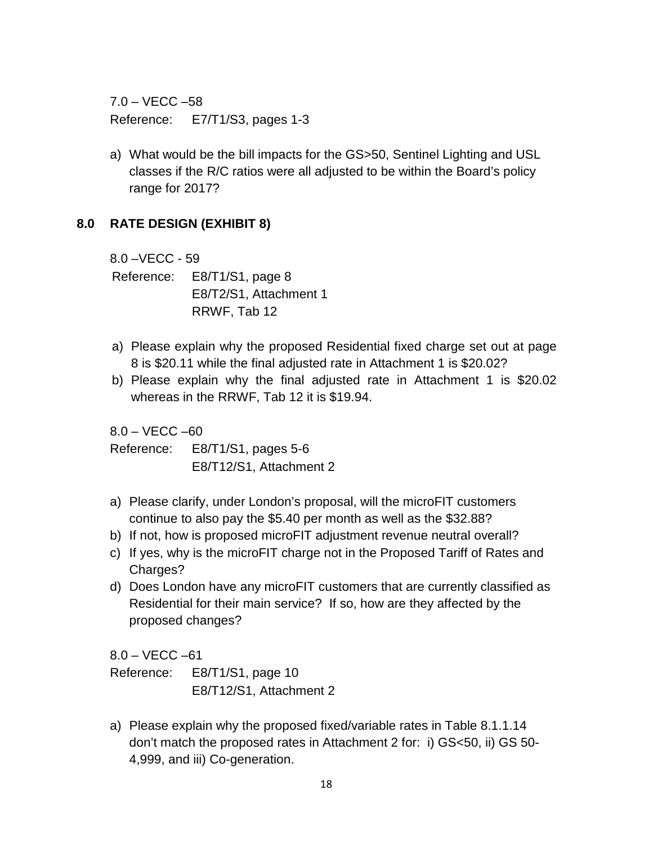$7.0 - VECC - 58$ Reference: E7/T1/S3, pages 1-3

a) What would be the bill impacts for the GS>50, Sentinel Lighting and USL classes if the R/C ratios were all adjusted to be within the Board's policy range for 2017?

### **8.0 RATE DESIGN (EXHIBIT 8)**

8.0 –VECC - 59

Reference: E8/T1/S1, page 8 E8/T2/S1, Attachment 1 RRWF, Tab 12

- a) Please explain why the proposed Residential fixed charge set out at page 8 is \$20.11 while the final adjusted rate in Attachment 1 is \$20.02?
- b) Please explain why the final adjusted rate in Attachment 1 is \$20.02 whereas in the RRWF, Tab 12 it is \$19.94.

 $8.0 - VECC - 60$ 

Reference: E8/T1/S1, pages 5-6 E8/T12/S1, Attachment 2

- a) Please clarify, under London's proposal, will the microFIT customers continue to also pay the \$5.40 per month as well as the \$32.88?
- b) If not, how is proposed microFIT adjustment revenue neutral overall?
- c) If yes, why is the microFIT charge not in the Proposed Tariff of Rates and Charges?
- d) Does London have any microFIT customers that are currently classified as Residential for their main service? If so, how are they affected by the proposed changes?

 $8.0 - VECC - 61$ 

| Reference: | E8/T1/S1, page 10       |  |  |  |  |
|------------|-------------------------|--|--|--|--|
|            | E8/T12/S1, Attachment 2 |  |  |  |  |

a) Please explain why the proposed fixed/variable rates in Table 8.1.1.14 don't match the proposed rates in Attachment 2 for: i) GS<50, ii) GS 50- 4,999, and iii) Co-generation.